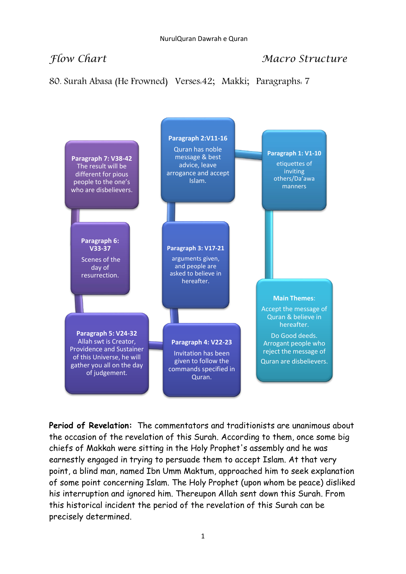## *Flow Chart* Macro Structure

80. Surah Abasa (He Frowned) Verses:42; Makki; Paragraphs: 7



**Period of Revelation:** The commentators and traditionists are unanimous about the occasion of the revelation of this Surah. According to them, once some big chiefs of Makkah were sitting in the Holy Prophet's assembly and he was earnestly engaged in trying to persuade them to accept Islam. At that very point, a blind man, named Ibn Umm Maktum, approached him to seek explanation of some point concerning Islam. The Holy Prophet (upon whom be peace) disliked his interruption and ignored him. Thereupon Allah sent down this Surah. From this historical incident the period of the revelation of this Surah can be precisely determined.